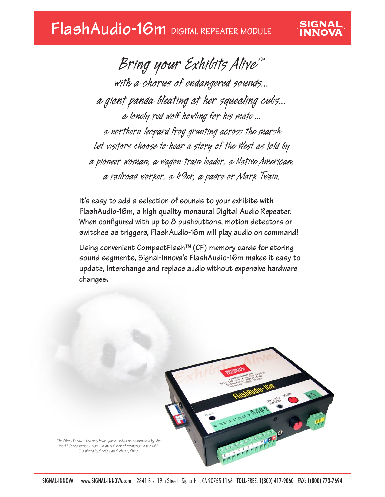## **FlashAudio-16m DIGITAL REPEATER MODULE**

*Bring your Exhibits Alive™ with a chorus of endangered sounds... a giant panda bleating at her squealing cubs... a lonely red wolf howling for his mate ... a northern leopard frog grunting across the marsh. Let visitors choose to hear a story of the West as told by a pioneer woman, a wagon train leader, a Native American, a railroad worker, a 49er, a padre or Mark Twain.*

SIGNAL

**It's easy to add a selection of sounds to your exhibits with FlashAudio-16m, a high quality monaural Digital Audio Repeater. When configured with up to 8 pushbuttons, motion detectors or switches as triggers, FlashAudio-16m will play audio on command!**

**Using convenient CompactFlash™ (CF) memory cards for storing sound segments, Signal-Innova's FlashAudio-16m makes it easy to update, interchange and replace audio without expensive hardware changes.**